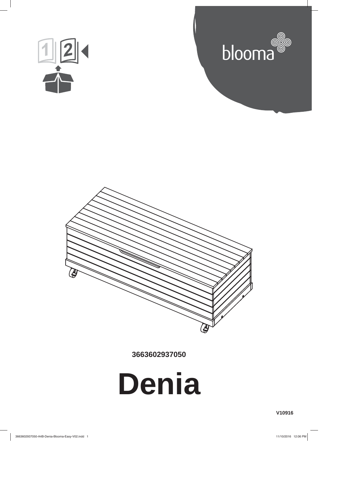





**3663602937050**



**V10916**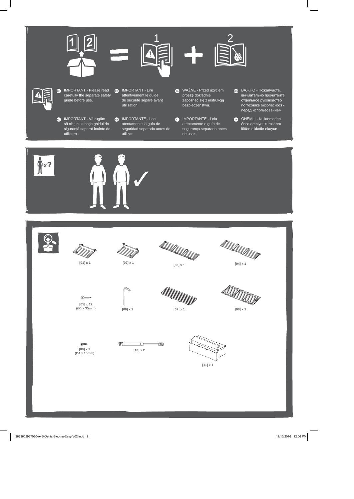



IMPORTANT - Please read carefully the separate safety guide before use.

- **B** IMPORTANT Lire attentivement le guide de sécurité séparé avant utilisation.
- **60** IMPORTANT Vă rugăm să citiți cu atenție ghidul de<br>siguranță separat înainte de utilizare.
- MPORTANTE Lea atentamente la guía de seguridad separado antes de utilizar.
- WAŻNE Przed użyciem proszę dokładnie .<br>zapoznać się z instrukcją<br>bezpieczeństwa.
- **OD** IMPORTANTE Leia atentamente o guía de segurança separado antes de usar.
- **609** ВАЖНО Пожалуйста, внимательно прочитайте отдельное руководство<br>по технике безопасности перед использованием.
- **CD** ÖNEMLI Kullanmadan önce emniyet kurallarını<br>lütfen dikkatle okuyun.



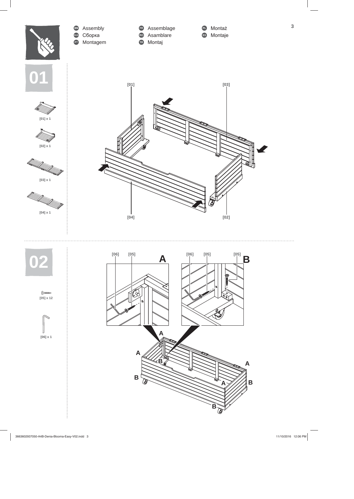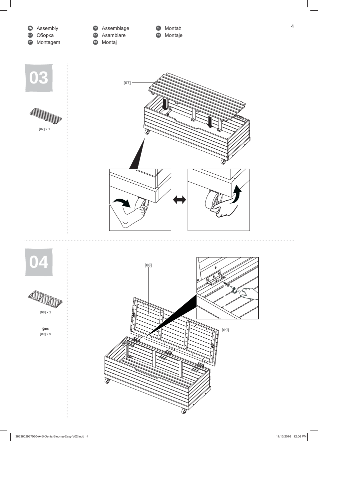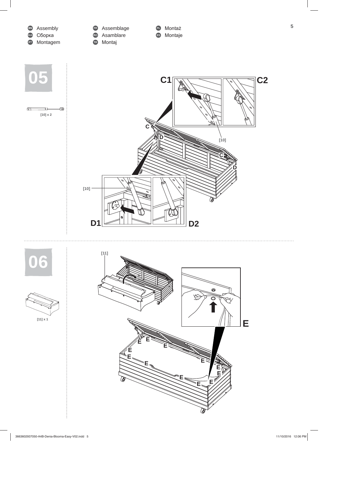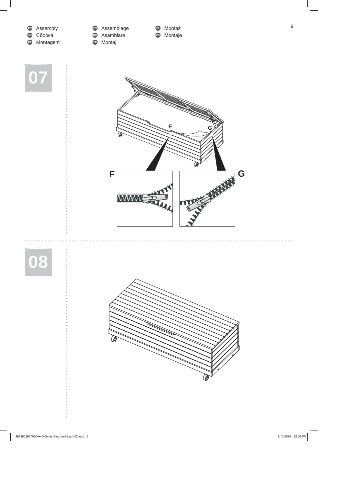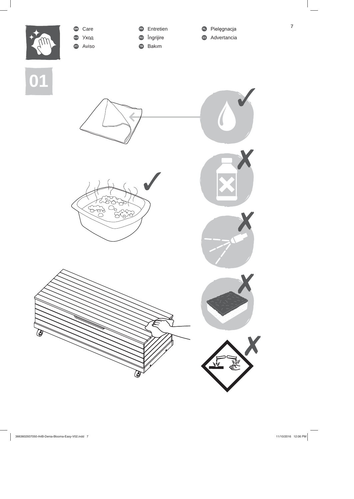

 $\overline{\mathbf{7}}$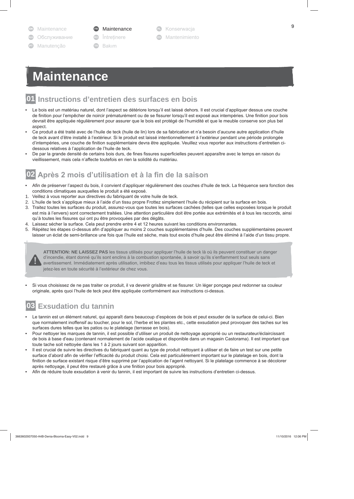- Maintenance
- Обслуживание
- Manutencão

Maintenance

- *<u>Intretinere</u>*
- Bakım
- Konserwacja
- **ES** Mantenimiento

# **Maintenance**

### 01 Instructions d'entretien des surfaces en bois

- Le bois est un matériau naturel, dont l'aspect se détériore lorsqu'il est laissé dehors. Il est crucial d'appliquer dessus une couche de finition pour l'empêcher de noircir prématurément ou de se fissurer lorsqu'il est exposé aux intempéries. Une finition pour bois devrait être appliquée régulièrement pour assurer que le bois est protégé de l'humidité et que le meuble conserve son plus bel aspect.
- Ce produit a été traité avec de l'huile de teck (huile de lin) lors de sa fabrication et n'a besoin d'aucune autre application d'huile de teck avant d'être installé à l'extérieur. Si le produit est laissé intentionnellement à l'extérieur pendant une période prolongée d'intempéries, une couche de finition supplémentaire devra être appliquée. Veuillez vous reporter aux instructions d'entretien cidessous relatives à l'application de l'huile de teck.
- De par la grande densité de certains bois durs, de fines fissures superficielles peuvent apparaître avec le temps en raison du vieillissement, mais cela n'affecte toutefois en rien la solidité du matériau.

## 02 Après 2 mois d'utilisation et à la fin de la saison

- Afin de préserver l'aspect du bois, il convient d'appliquer régulièrement des couches d'huile de teck. La fréquence sera fonction des conditions climatiques auxquelles le produit a été exposé.
- 1. Veillez à vous reporter aux directives du fabriquant de votre huile de teck.
- 2. L'huile de teck s'applique mieux à l'aide d'un tissu propre Frottez simplement l'huile du récipient sur la surface en bois.
- 3. Traitez toutes les surfaces du produit, assurez-vous que toutes les surfaces cachées (telles que celles exposées lorsque le produit est mis à l'envers) sont correctement traitées. Une attention particulière doit être portée aux extrémités et à tous les raccords, ainsi qu'à toutes les fissures qui ont pu être provoquées par des dégâts.
- 4. Laissez sécher la surface. Cela peut prendre entre 4 et 12 heures suivant les conditions environnantes.
- 5. Répétez les étapes ci-dessus afin d'appliquer au moins 2 couches supplémentaires d'huile. Des couches supplémentaires peuvent laisser un éclat de semi-brillance une fois que l'huile est sèche, mais tout excès d'huile peut être éliminé à l'aide d'un tissu propre.



ATTENTION: NE LAISSEZ PAS les tissus utilisés pour appliquer l'huile de teck là où ils peuvent constituer un danger d'incendie, étant donné qu'ils sont enclins à la combustion spontanée, à savoir qu'ils s'enflamment tout seuls sans avertissement. Immédiatement après utilisation, imbibez d'eau tous les tissus utilisés pour appliquer l'huile de teck et jetez-les en toute sécurité à l'extérieur de chez vous.

Si vous choisissez de ne pas traiter ce produit, il va devenir grisâtre et se fissurer. Un léger ponçage peut redonner sa couleur originale, après quoi l'huile de teck peut être appliquée conformément aux instructions ci-dessus.

### 03 **Exsudation du tannin**

- Le tannin est un élément naturel, qui apparaît dans beaucoup d'espèces de bois et peut exsuder de la surface de celui-ci. Bien que normalement inoffensif au toucher, pour le sol, l'herbe et les plantes etc., cette exsudation peut provoquer des taches sur les surfaces dures telles que les patios ou le platelage (terrasse en bois).
- Pour nettoyer les marques de tannin, il est possible d'utiliser un produit de nettoyage approprié ou un restaurateur/éclaircissant de bois à base d'eau (contenant normalement de l'acide oxalique et disponible dans un magasin Castorama). Il est important que toute tache soit nettoyée dans les 1 à 2 jours suivant son apparition.
- Il est crucial de suivre les directives du fabriquant quant au type de produit nettoyant à utiliser et de faire un test sur une petite surface d'abord afin de vérifier l'efficacité du produit choisi. Cela est particulièrement important sur le platelage en bois, dont la finition de surface existant risque d'être supprimé par l'application de l'agent nettoyant. Si le platelage commence à se décolorer après nettoyage, il peut être restauré grâce à une finition pour bois approprié.
- Afin de réduire toute exsudation à venir du tannin, il est important de suivre les instructions d'entretien ci-dessus.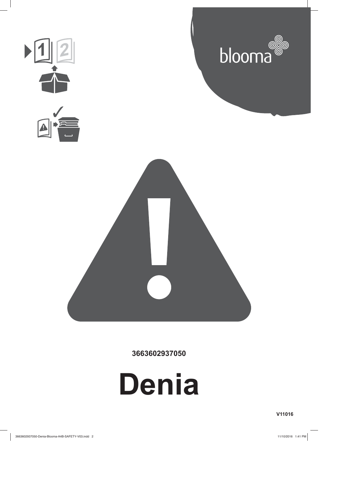

**3663602937050**



**V11016**